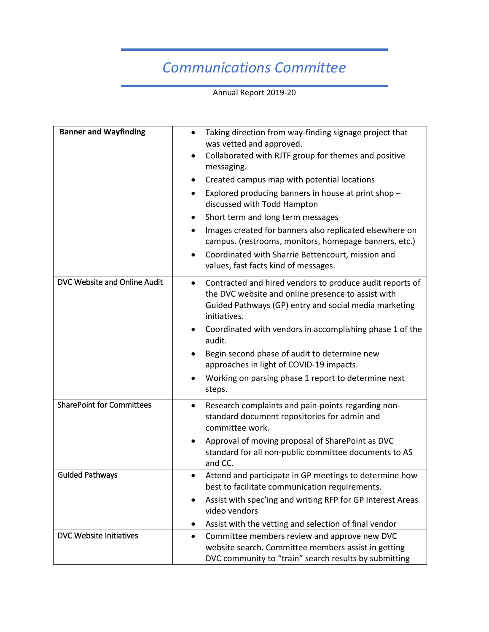## *Communications Committee*

Annual Report 2019-20

| <b>Banner and Wayfinding</b>     | Taking direction from way-finding signage project that<br>$\bullet$<br>was vetted and approved.<br>Collaborated with RJTF group for themes and positive<br>$\bullet$<br>messaging.<br>Created campus map with potential locations<br>$\bullet$<br>Explored producing banners in house at print shop -<br>$\bullet$<br>discussed with Todd Hampton<br>Short term and long term messages<br>Images created for banners also replicated elsewhere on<br>$\bullet$<br>campus. (restrooms, monitors, homepage banners, etc.)<br>Coordinated with Sharrie Bettencourt, mission and |
|----------------------------------|------------------------------------------------------------------------------------------------------------------------------------------------------------------------------------------------------------------------------------------------------------------------------------------------------------------------------------------------------------------------------------------------------------------------------------------------------------------------------------------------------------------------------------------------------------------------------|
|                                  | values, fast facts kind of messages.                                                                                                                                                                                                                                                                                                                                                                                                                                                                                                                                         |
| DVC Website and Online Audit     | Contracted and hired vendors to produce audit reports of<br>the DVC website and online presence to assist with<br>Guided Pathways (GP) entry and social media marketing<br>initiatives.<br>Coordinated with vendors in accomplishing phase 1 of the<br>audit.<br>Begin second phase of audit to determine new<br>approaches in light of COVID-19 impacts.<br>Working on parsing phase 1 report to determine next<br>steps.                                                                                                                                                   |
| <b>SharePoint for Committees</b> | Research complaints and pain-points regarding non-<br>$\bullet$<br>standard document repositories for admin and<br>committee work.<br>Approval of moving proposal of SharePoint as DVC<br>٠<br>standard for all non-public committee documents to AS<br>and CC.                                                                                                                                                                                                                                                                                                              |
| <b>Guided Pathways</b>           | Attend and participate in GP meetings to determine how<br>best to facilitate communication requirements.<br>Assist with spec'ing and writing RFP for GP Interest Areas<br>video vendors<br>Assist with the vetting and selection of final vendor<br>$\bullet$                                                                                                                                                                                                                                                                                                                |
| DVC Website Initiatives          | Committee members review and approve new DVC<br>$\bullet$<br>website search. Committee members assist in getting<br>DVC community to "train" search results by submitting                                                                                                                                                                                                                                                                                                                                                                                                    |